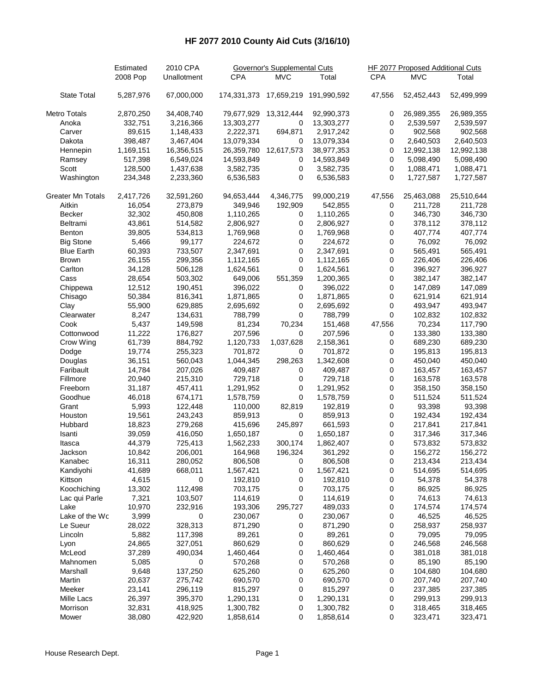## **HF 2077 2010 County Aid Cuts (3/16/10)**

|                          | Estimated | 2010 CPA<br>Unallotment | Governor's Supplemental Cuts |                       |                                    | <b>HF 2077 Proposed Additional Cuts</b> |            |            |
|--------------------------|-----------|-------------------------|------------------------------|-----------------------|------------------------------------|-----------------------------------------|------------|------------|
|                          | 2008 Pop  |                         | <b>CPA</b>                   | <b>MVC</b>            | Total                              | <b>CPA</b>                              | <b>MVC</b> | Total      |
| <b>State Total</b>       | 5,287,976 | 67,000,000              |                              |                       | 174,331,373 17,659,219 191,990,592 | 47,556                                  | 52,452,443 | 52,499,999 |
| Metro Totals             | 2,870,250 | 34,408,740              |                              | 79,677,929 13,312,444 | 92,990,373                         | 0                                       | 26,989,355 | 26,989,355 |
| Anoka                    | 332,751   | 3,216,366               | 13,303,277                   | 0                     | 13,303,277                         | 0                                       | 2,539,597  | 2,539,597  |
| Carver                   | 89,615    | 1,148,433               | 2,222,371                    | 694,871               | 2,917,242                          | 0                                       | 902,568    | 902,568    |
| Dakota                   | 398,487   | 3,467,404               | 13,079,334                   | 0                     | 13,079,334                         | 0                                       | 2,640,503  | 2,640,503  |
| Hennepin                 | 1,169,151 | 16,356,515              | 26,359,780                   | 12,617,573            | 38,977,353                         | 0                                       | 12,992,138 | 12,992,138 |
| Ramsey                   | 517,398   | 6,549,024               | 14,593,849                   | 0                     | 14,593,849                         | 0                                       | 5,098,490  | 5,098,490  |
| Scott                    | 128,500   | 1,437,638               | 3,582,735                    | 0                     | 3,582,735                          | 0                                       | 1,088,471  | 1,088,471  |
| Washington               | 234,348   | 2,233,360               | 6,536,583                    | $\mathbf 0$           | 6,536,583                          | 0                                       | 1,727,587  | 1,727,587  |
| <b>Greater Mn Totals</b> | 2,417,726 | 32,591,260              | 94,653,444                   | 4,346,775             | 99,000,219                         | 47,556                                  | 25,463,088 | 25,510,644 |
| Aitkin                   | 16,054    | 273,879                 | 349,946                      | 192,909               | 542,855                            | 0                                       | 211,728    | 211,728    |
| Becker                   | 32,302    | 450,808                 | 1,110,265                    | 0                     | 1,110,265                          | 0                                       | 346,730    | 346,730    |
| Beltrami                 | 43,861    | 514,582                 | 2,806,927                    | $\mathbf 0$           | 2,806,927                          | 0                                       | 378,112    | 378,112    |
| Benton                   | 39,805    | 534,813                 | 1,769,968                    | $\mathbf 0$           | 1,769,968                          | 0                                       | 407,774    | 407,774    |
| <b>Big Stone</b>         | 5,466     | 99,177                  | 224,672                      | $\pmb{0}$             | 224,672                            | 0                                       | 76,092     | 76,092     |
| <b>Blue Earth</b>        | 60,393    | 733,507                 | 2,347,691                    | $\pmb{0}$             | 2,347,691                          | 0                                       | 565,491    | 565,491    |
| <b>Brown</b>             | 26,155    | 299,356                 | 1,112,165                    | 0                     | 1,112,165                          | 0                                       | 226,406    | 226,406    |
| Carlton                  | 34,128    | 506,128                 | 1,624,561                    | 0                     | 1,624,561                          | 0                                       | 396,927    | 396,927    |
| Cass                     | 28,654    | 503,302                 | 649,006                      | 551,359               | 1,200,365                          | 0                                       | 382,147    | 382,147    |
| Chippewa                 | 12,512    | 190,451                 | 396,022                      | 0                     | 396,022                            | 0                                       | 147,089    | 147,089    |
| Chisago                  | 50,384    | 816,341                 | 1,871,865                    | 0                     | 1,871,865                          | 0                                       | 621,914    | 621,914    |
| Clay                     | 55,900    | 629,885                 | 2,695,692                    | 0                     | 2,695,692                          | 0                                       | 493,947    | 493,947    |
| Clearwater               | 8,247     | 134,631                 | 788,799                      | $\mathbf 0$           | 788,799                            | 0                                       | 102,832    | 102,832    |
| Cook                     | 5,437     | 149,598                 | 81,234                       | 70,234                | 151,468                            |                                         | 70,234     | 117,790    |
|                          |           |                         |                              | 0                     |                                    | 47,556                                  |            |            |
| Cottonwood               | 11,222    | 176,827                 | 207,596                      |                       | 207,596                            | 0                                       | 133,380    | 133,380    |
| Crow Wing                | 61,739    | 884,792                 | 1,120,733                    | 1,037,628             | 2,158,361                          | 0                                       | 689,230    | 689,230    |
| Dodge                    | 19,774    | 255,323                 | 701,872                      | 0                     | 701,872                            | 0                                       | 195,813    | 195,813    |
| Douglas                  | 36,151    | 560,043                 | 1,044,345                    | 298,263               | 1,342,608                          | 0                                       | 450,040    | 450,040    |
| Faribault                | 14,784    | 207,026                 | 409,487                      | 0                     | 409,487                            | 0                                       | 163,457    | 163,457    |
| Fillmore                 | 20,940    | 215,310                 | 729,718                      | 0                     | 729,718                            | 0                                       | 163,578    | 163,578    |
| Freeborn                 | 31,187    | 457,411                 | 1,291,952                    | $\pmb{0}$             | 1,291,952                          | 0                                       | 358,150    | 358,150    |
| Goodhue                  | 46,018    | 674,171                 | 1,578,759                    | $\mathbf 0$           | 1,578,759                          | 0                                       | 511,524    | 511,524    |
| Grant                    | 5,993     | 122,448                 | 110,000                      | 82,819                | 192,819                            | 0                                       | 93,398     | 93,398     |
| Houston                  | 19,561    | 243,243                 | 859,913                      | 0                     | 859,913                            | 0                                       | 192,434    | 192,434    |
| Hubbard                  | 18,823    | 279,268                 | 415,696                      | 245,897               | 661,593                            | 0                                       | 217,841    | 217,841    |
| Isanti                   | 39,059    | 416,050                 | 1,650,187                    | 0                     | 1,650,187                          | 0                                       | 317,346    | 317,346    |
| Itasca                   | 44,379    | 725,413                 | 1,562,233                    | 300,174               | 1,862,407                          | 0                                       | 573,832    | 573,832    |
| Jackson                  | 10,842    | 206,001                 | 164,968                      | 196,324               | 361,292                            | $\mathbf 0$                             | 156,272    | 156,272    |
| Kanabec                  | 16,311    | 280,052                 | 806,508                      | 0                     | 806,508                            | 0                                       | 213,434    | 213,434    |
| Kandiyohi                | 41,689    | 668,011                 | 1,567,421                    | 0                     | 1,567,421                          | 0                                       | 514,695    | 514,695    |
| Kittson                  | 4,615     | 0                       | 192,810                      | 0                     | 192,810                            | 0                                       | 54,378     | 54,378     |
| Koochiching              | 13,302    | 112,498                 | 703,175                      | 0                     | 703,175                            | 0                                       | 86,925     | 86,925     |
| Lac qui Parle            | 7,321     | 103,507                 | 114,619                      | 0                     | 114,619                            | 0                                       | 74,613     | 74,613     |
| Lake                     | 10,970    | 232,916                 | 193,306                      | 295,727               | 489,033                            | 0                                       | 174,574    | 174,574    |
| Lake of the Wc           | 3,999     | 0                       | 230,067                      | 0                     | 230,067                            | 0                                       | 46,525     | 46,525     |
| Le Sueur                 | 28,022    | 328,313                 | 871,290                      | 0                     | 871,290                            | 0                                       | 258,937    | 258,937    |
| Lincoln                  | 5,882     | 117,398                 | 89,261                       | 0                     | 89,261                             | 0                                       | 79,095     | 79,095     |
| Lyon                     | 24,865    | 327,051                 | 860,629                      | 0                     | 860,629                            | 0                                       | 246,568    | 246,568    |
| McLeod                   | 37,289    | 490,034                 | 1,460,464                    | 0                     | 1,460,464                          | 0                                       | 381,018    | 381,018    |
| Mahnomen                 | 5,085     | 0                       | 570,268                      | 0                     | 570,268                            | 0                                       | 85,190     | 85,190     |
| Marshall                 | 9,648     | 137,250                 | 625,260                      | 0                     | 625,260                            | 0                                       | 104,680    | 104,680    |
| Martin                   | 20,637    | 275,742                 | 690,570                      | 0                     | 690,570                            | 0                                       | 207,740    | 207,740    |
| Meeker                   | 23,141    | 296,119                 | 815,297                      | 0                     | 815,297                            | 0                                       | 237,385    | 237,385    |
| Mille Lacs               | 26,397    | 395,370                 | 1,290,131                    | 0                     | 1,290,131                          | 0                                       | 299,913    | 299,913    |
| Morrison                 | 32,831    | 418,925                 | 1,300,782                    | 0                     | 1,300,782                          | 0                                       | 318,465    | 318,465    |
| Mower                    | 38,080    | 422,920                 | 1,858,614                    | 0                     | 1,858,614                          | 0                                       | 323,471    | 323,471    |